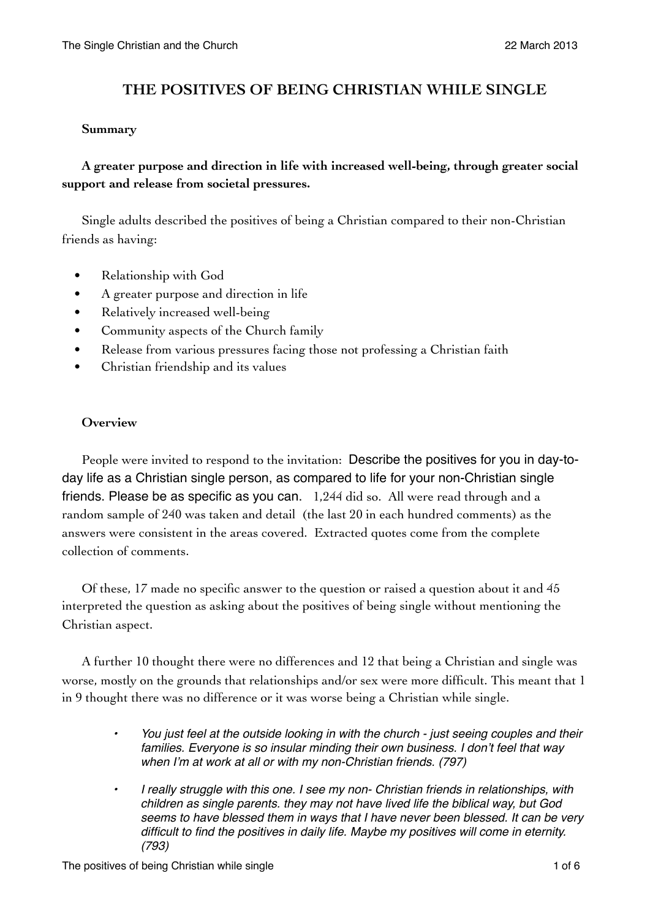# **THE POSITIVES OF BEING CHRISTIAN WHILE SINGLE**

#### **Summary**

**A greater purpose and direction in life with increased well-being, through greater social support and release from societal pressures.** 

Single adults described the positives of being a Christian compared to their non-Christian friends as having:

- Relationship with God
- A greater purpose and direction in life
- Relatively increased well-being
- Community aspects of the Church family
- Release from various pressures facing those not professing a Christian faith
- Christian friendship and its values

#### **Overview**

People were invited to respond to the invitation: Describe the positives for you in day-today life as a Christian single person, as compared to life for your non-Christian single friends. Please be as specific as you can. 1,244 did so. All were read through and a random sample of 240 was taken and detail (the last 20 in each hundred comments) as the answers were consistent in the areas covered. Extracted quotes come from the complete collection of comments.

Of these, 17 made no specific answer to the question or raised a question about it and 45 interpreted the question as asking about the positives of being single without mentioning the Christian aspect.

A further 10 thought there were no differences and 12 that being a Christian and single was worse, mostly on the grounds that relationships and/or sex were more difficult. This meant that 1 in 9 thought there was no difference or it was worse being a Christian while single.

- *• You just feel at the outside looking in with the church just seeing couples and their families. Everyone is so insular minding their own business. I don't feel that way when I'm at work at all or with my non-Christian friends. (797)*
- *• I really struggle with this one. I see my non- Christian friends in relationships, with children as single parents. they may not have lived life the biblical way, but God seems to have blessed them in ways that I have never been blessed. It can be very difficult to find the positives in daily life. Maybe my positives will come in eternity. (793)*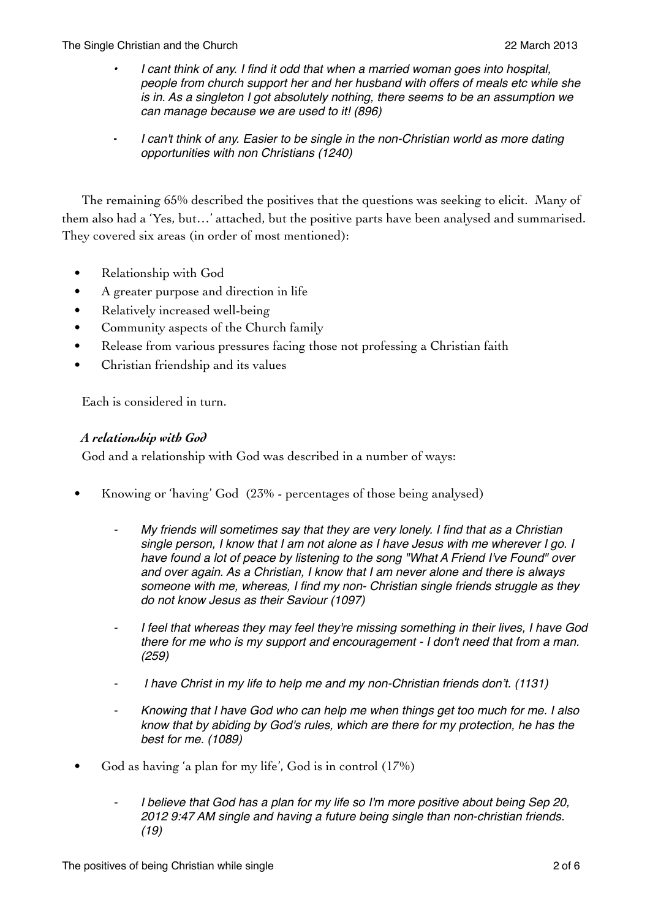- *• I cant think of any. I find it odd that when a married woman goes into hospital, people from church support her and her husband with offers of meals etc while she is in. As a singleton I got absolutely nothing, there seems to be an assumption we can manage because we are used to it! (896)*
- I can't think of any. Easier to be single in the non-Christian world as more dating *opportunities with non Christians (1240)*

The remaining 65% described the positives that the questions was seeking to elicit. Many of them also had a 'Yes, but…' attached, but the positive parts have been analysed and summarised. They covered six areas (in order of most mentioned):

- Relationship with God
- A greater purpose and direction in life
- Relatively increased well-being
- Community aspects of the Church family
- Release from various pressures facing those not professing a Christian faith
- Christian friendship and its values

Each is considered in turn.

### *A relationship with God*

God and a relationship with God was described in a number of ways:

- Knowing or 'having' God (23% percentages of those being analysed)
	- ⁃ *My friends will sometimes say that they are very lonely. I find that as a Christian single person, I know that I am not alone as I have Jesus with me wherever I go. I have found a lot of peace by listening to the song "What A Friend I've Found" over and over again. As a Christian, I know that I am never alone and there is always someone with me, whereas, I find my non- Christian single friends struggle as they do not know Jesus as their Saviour (1097)*
	- ⁃ *I feel that whereas they may feel they're missing something in their lives, I have God there for me who is my support and encouragement - I don't need that from a man. (259)*
	- ⁃ *I have Christ in my life to help me and my non-Christian friends don't. (1131)*
	- ⁃ *Knowing that I have God who can help me when things get too much for me. I also know that by abiding by God's rules, which are there for my protection, he has the best for me. (1089)*
- God as having 'a plan for my life', God is in control (17%)
	- ⁃ *I believe that God has a plan for my life so I'm more positive about being Sep 20, 2012 9:47 AM single and having a future being single than non-christian friends. (19)*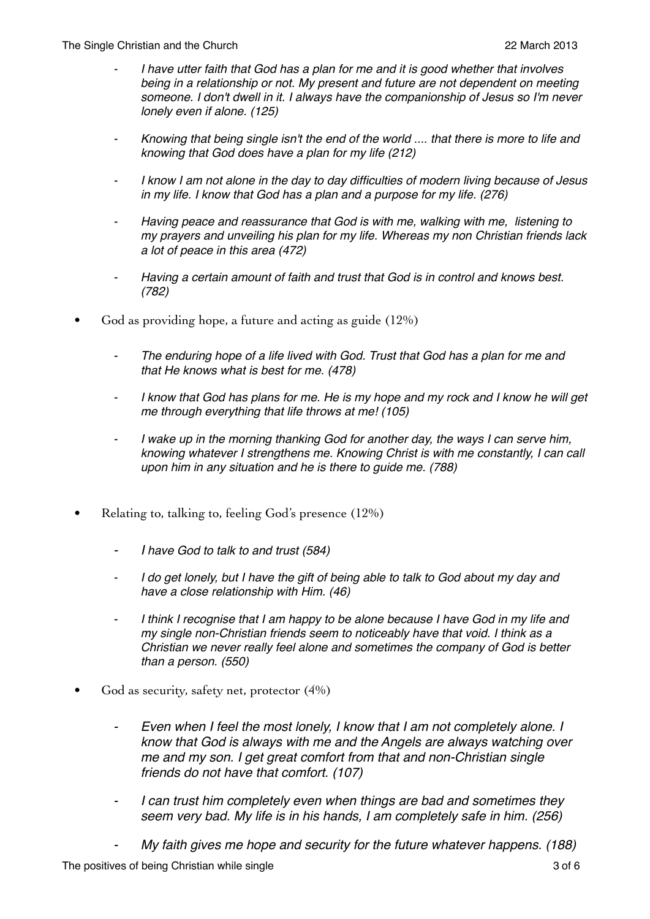- ⁃ *I have utter faith that God has a plan for me and it is good whether that involves being in a relationship or not. My present and future are not dependent on meeting someone. I don't dwell in it. I always have the companionship of Jesus so I'm never lonely even if alone. (125)*
- ⁃ *Knowing that being single isn't the end of the world .... that there is more to life and knowing that God does have a plan for my life (212)*
- ⁃ *I know I am not alone in the day to day difficulties of modern living because of Jesus in my life. I know that God has a plan and a purpose for my life. (276)*
- ⁃ *Having peace and reassurance that God is with me, walking with me, listening to my prayers and unveiling his plan for my life. Whereas my non Christian friends lack a lot of peace in this area (472)*
- ⁃ *Having a certain amount of faith and trust that God is in control and knows best. (782)*
- God as providing hope, a future and acting as guide (12%)
	- ⁃ *The enduring hope of a life lived with God. Trust that God has a plan for me and that He knows what is best for me. (478)*
	- ⁃ *I know that God has plans for me. He is my hope and my rock and I know he will get me through everything that life throws at me! (105)*
	- I wake up in the morning thanking God for another day, the ways I can serve him, *knowing whatever I strengthens me. Knowing Christ is with me constantly, I can call upon him in any situation and he is there to guide me. (788)*
- Relating to, talking to, feeling God's presence (12%)
	- ⁃ *I have God to talk to and trust (584)*
	- ⁃ *I do get lonely, but I have the gift of being able to talk to God about my day and have a close relationship with Him. (46)*
	- I think I recognise that I am happy to be alone because I have God in my life and *my single non-Christian friends seem to noticeably have that void. I think as a Christian we never really feel alone and sometimes the company of God is better than a person. (550)*
- God as security, safety net, protector (4%)
	- ⁃ *Even when I feel the most lonely, I know that I am not completely alone. I know that God is always with me and the Angels are always watching over me and my son. I get great comfort from that and non-Christian single friends do not have that comfort. (107)*
	- ⁃ *I can trust him completely even when things are bad and sometimes they seem very bad. My life is in his hands, I am completely safe in him. (256)*
	- ⁃ *My faith gives me hope and security for the future whatever happens. (188)*

The positives of being Christian while single 3 of 6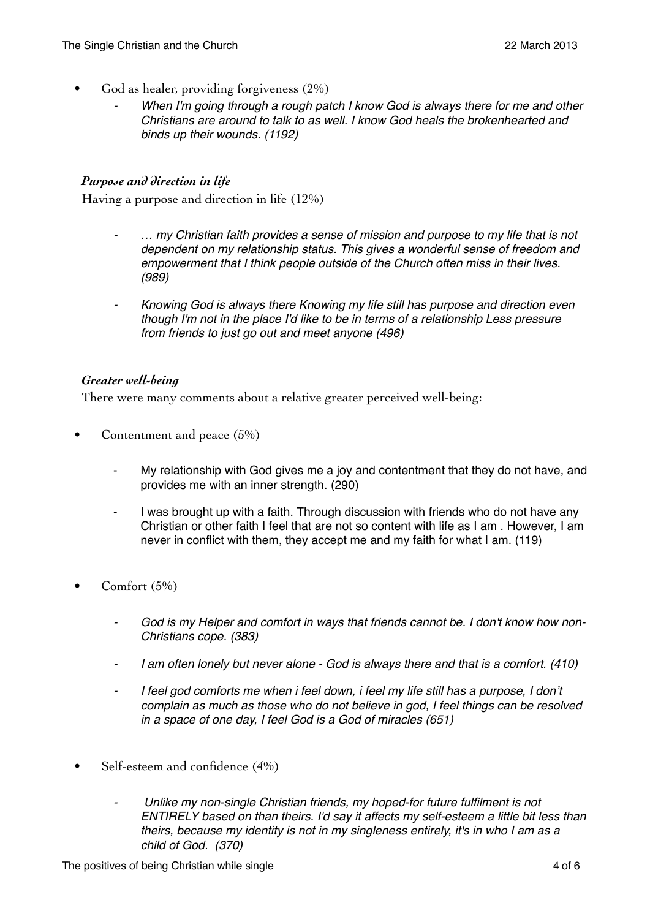- God as healer, providing forgiveness (2%)
	- When I'm going through a rough patch I know God is always there for me and other *Christians are around to talk to as well. I know God heals the brokenhearted and binds up their wounds. (1192)*

#### *Purpose and direction in life*

Having a purpose and direction in life (12%)

- ⁃ *… my Christian faith provides a sense of mission and purpose to my life that is not dependent on my relationship status. This gives a wonderful sense of freedom and empowerment that I think people outside of the Church often miss in their lives. (989)*
- ⁃ *Knowing God is always there Knowing my life still has purpose and direction even though I'm not in the place I'd like to be in terms of a relationship Less pressure from friends to just go out and meet anyone (496)*

#### *Greater well-being*

There were many comments about a relative greater perceived well-being:

- Contentment and peace (5%)
	- My relationship with God gives me a joy and contentment that they do not have, and provides me with an inner strength. (290)
	- I was brought up with a faith. Through discussion with friends who do not have any Christian or other faith I feel that are not so content with life as I am . However, I am never in conflict with them, they accept me and my faith for what I am. (119)
- Comfort (5%)
	- ⁃ *God is my Helper and comfort in ways that friends cannot be. I don't know how non-Christians cope. (383)*
	- ⁃ *I am often lonely but never alone God is always there and that is a comfort. (410)*
	- ⁃ *I feel god comforts me when i feel down, i feel my life still has a purpose, I don't complain as much as those who do not believe in god, I feel things can be resolved in a space of one day, I feel God is a God of miracles (651)*
- Self-esteem and confidence (4%)
	- ⁃ *Unlike my non-single Christian friends, my hoped-for future fulfilment is not ENTIRELY based on than theirs. I'd say it affects my self-esteem a little bit less than theirs, because my identity is not in my singleness entirely, it's in who I am as a child of God. (370)*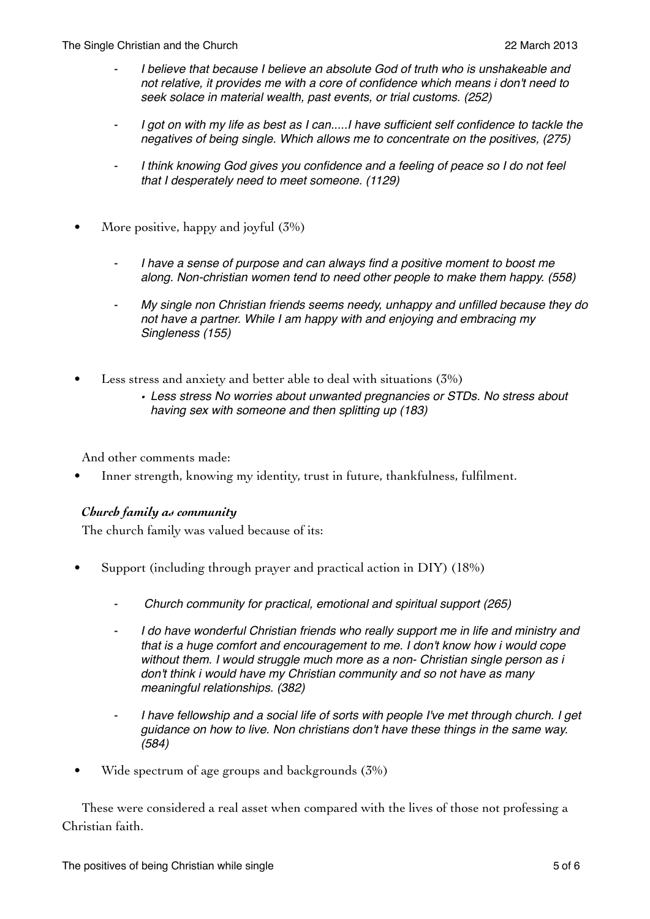- ⁃ *I believe that because I believe an absolute God of truth who is unshakeable and not relative, it provides me with a core of confidence which means i don't need to seek solace in material wealth, past events, or trial customs. (252)*
- ⁃ *I got on with my life as best as I can.....I have sufficient self confidence to tackle the negatives of being single. Which allows me to concentrate on the positives, (275)*
- ⁃ *I think knowing God gives you confidence and a feeling of peace so I do not feel that I desperately need to meet someone. (1129)*
- More positive, happy and joyful (3%)
	- ⁃ *I have a sense of purpose and can always find a positive moment to boost me along. Non-christian women tend to need other people to make them happy. (558)*
	- ⁃ *My single non Christian friends seems needy, unhappy and unfilled because they do not have a partner. While I am happy with and enjoying and embracing my Singleness (155)*
- Less stress and anxiety and better able to deal with situations (3%)
	- *• Less stress No worries about unwanted pregnancies or STDs. No stress about having sex with someone and then splitting up (183)*

And other comments made:

• Inner strength, knowing my identity, trust in future, thankfulness, fulfilment.

## *Church family as community*

The church family was valued because of its:

- Support (including through prayer and practical action in DIY) (18%)
	- ⁃ *Church community for practical, emotional and spiritual support (265)*
	- ⁃ *I do have wonderful Christian friends who really support me in life and ministry and that is a huge comfort and encouragement to me. I don't know how i would cope without them. I would struggle much more as a non- Christian single person as i don't think i would have my Christian community and so not have as many meaningful relationships. (382)*
	- ⁃ *I have fellowship and a social life of sorts with people I've met through church. I get guidance on how to live. Non christians don't have these things in the same way. (584)*
- Wide spectrum of age groups and backgrounds (3%)

These were considered a real asset when compared with the lives of those not professing a Christian faith.